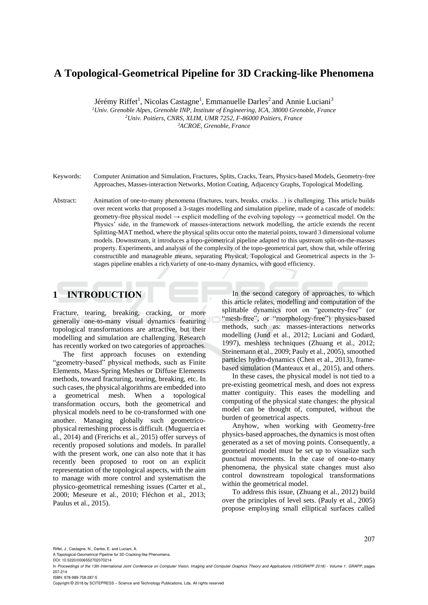# **A Topological-Geometrical Pipeline for 3D Cracking-like Phenomena**

Jérémy Riffet<sup>1</sup>, Nicolas Castagne<sup>1</sup>, Emmanuelle Darles<sup>2</sup> and Annie Luciani<sup>3</sup>

*<sup>1</sup>Univ. Grenoble Alpes, Grenoble INP, Institute of Engineering, ICA, 38000 Grenoble, France <sup>2</sup>Univ. Poitiers, CNRS, XLIM, UMR 7252, F-86000 Poitiers, France <sup>3</sup>ACROE, Grenoble, France*

Keywords: Computer Animation and Simulation, Fractures, Splits, Cracks, Tears, Physics-based Models, Geometry-free Approaches, Masses-interaction Networks, Motion Coating, Adjacency Graphs, Topological Modelling.

Abstract: Animation of one-to-many phenomena (fractures, tears, breaks, cracks…) is challenging. This article builds over recent works that proposed a 3-stages modelling and simulation pipeline, made of a cascade of models: geometry-free physical model  $\rightarrow$  explicit modelling of the evolving topology  $\rightarrow$  geometrical model. On the Physics' side, in the framework of masses-interactions network modelling, the article extends the recent Splitting-MAT method, where the physical splits occur onto the material points, toward 3 dimensional volume models. Downstream, it introduces a topo-geometrical pipeline adapted to this upstream split-on-the-masses property. Experiments, and analysis of the complexity of the topo-geometrical part, show that, while offering constructible and manageable means, separating Physical, Topological and Geometrical aspects in the 3 stages pipeline enables a rich variety of one-to-many dynamics, with good efficiency.

## **1 INTRODUCTION**

Fracture, tearing, breaking, cracking, or more generally one-to-many visual dynamics featuring topological transformations are attractive, but their modelling and simulation are challenging. Research has recently worked on two categories of approaches.

The first approach focuses on extending "geometry-based" physical methods, such as Finite Elements, Mass-Spring Meshes or Diffuse Elements methods, toward fracturing, tearing, breaking, etc. In such cases, the physical algorithms are embedded into a geometrical mesh. When a topological transformation occurs, both the geometrical and physical models need to be co-transformed with one another. Managing globally such geometricophysical remeshing process is difficult. (Muguercia et al., 2014) and (Frerichs et al., 2015) offer surveys of recently proposed solutions and models. In parallel with the present work, one can also note that it has recently been proposed to root on an explicit representation of the topological aspects, with the aim to manage with more control and systematism the physico-geometrical remeshing issues (Carter et al., 2000; Meseure et al., 2010; Fléchon et al., 2013; Paulus et al., 2015).

In the second category of approaches, to which this article relates, modelling and computation of the splittable dynamics root on "geometry-free" (or "mesh-free", or "morphology-free") physics-based methods, such as: masses-interactions networks modelling (Jund et al., 2012; Luciani and Godard, 1997), meshless techniques (Zhuang et al., 2012; Steinemann et al., 2009; Pauly et al., 2005), smoothed particles hydro-dynamics (Chen et al., 2013), framebased simulation (Manteaux et al., 2015), and others.

In these cases, the physical model is not tied to a pre-existing geometrical mesh, and does not express matter contiguity. This eases the modelling and computing of the physical state changes: the physical model can be thought of, computed, without the burden of geometrical aspects.

Anyhow, when working with Geometry-free physics-based approaches, the dynamics is most often generated as a set of moving points. Consequently, a geometrical model must be set up to visualize such punctual movements. In the case of one-to-many phenomena, the physical state changes must also control downstream topological transformations within the geometrical model.

To address this issue, (Zhuang et al., 2012) build over the principles of level sets. (Pauly et al., 2005) propose employing small elliptical surfaces called

Riffet, J., Castagne, N., Darles, E. and Luciani, A.

A Topological-Geometrical Pipeline for 3D Cracking-like Phenomena.

Copyright © 2018 by SCITEPRESS – Science and Technology Publications, Lda. All rights reserved

DOI: 10.5220/0006552702070214

In *Proceedings of the 13th International Joint Conference on Computer Vision, Imaging and Computer Graphics Theory and Applications (VISIGRAPP 2018) - Volume 1: GRAPP*, pages 207-214 ISBN: 978-989-758-287-5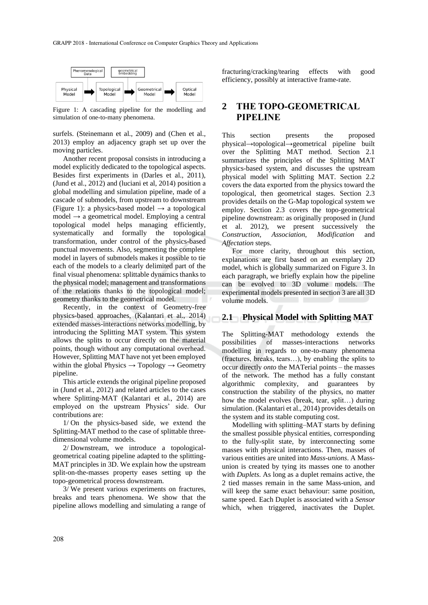

Figure 1: A cascading pipeline for the modelling and simulation of one-to-many phenomena.

surfels. (Steinemann et al., 2009) and (Chen et al., 2013) employ an adjacency graph set up over the moving particles.

Another recent proposal consists in introducing a model explicitly dedicated to the topological aspects. Besides first experiments in (Darles et al., 2011), (Jund et al., 2012) and (luciani et al, 2014) position a global modelling and simulation pipeline, made of a cascade of submodels, from upstream to downstream (Figure 1): a physics-based model  $\rightarrow$  a topological model  $\rightarrow$  a geometrical model. Employing a central topological model helps managing efficiently, systematically and formally the topological transformation, under control of the physics-based punctual movements. Also, segmenting the complete model in layers of submodels makes it possible to tie each of the models to a clearly delimited part of the final visual phenomena: splittable dynamics thanks to the physical model; management and transformations of the relations thanks to the topological model; geometry thanks to the geometrical model.

Recently, in the context of Geometry-free physics-based approaches, (Kalantari et al., 2014) extended masses-interactions networks modelling, by introducing the Splitting MAT system. This system allows the splits to occur directly on the material points, though without any computational overhead. However, Splitting MAT have not yet been employed within the global Physics  $\rightarrow$  Topology  $\rightarrow$  Geometry pipeline.

This article extends the original pipeline proposed in (Jund et al., 2012) and related articles to the cases where Splitting-MAT (Kalantari et al., 2014) are employed on the upstream Physics' side. Our contributions are:

1/ On the physics-based side, we extend the Splitting-MAT method to the case of splittable threedimensional volume models.

2/ Downstream, we introduce a topologicalgeometrical coating pipeline adapted to the splitting-MAT principles in 3D. We explain how the upstream split-on-the-masses property eases setting up the topo-geometrical process downstream.

3/ We present various experiments on fractures, breaks and tears phenomena. We show that the pipeline allows modelling and simulating a range of

fracturing/cracking/tearing effects with good efficiency, possibly at interactive frame-rate.

## **2 THE TOPO-GEOMETRICAL PIPELINE**

This section presents the proposed physical→topological→geometrical pipeline built over the Splitting MAT method. Section 2.1 summarizes the principles of the Splitting MAT physics-based system, and discusses the upstream physical model with Splitting MAT. Section 2.2 covers the data exported from the physics toward the topological, then geometrical stages. Section 2.3 provides details on the G-Map topological system we employ. Section 2.3 covers the topo-geometrical pipeline downstream: as originally proposed in (Jund et al. 2012), we present successively the *Construction*, *Association*, *Modification* and *Affectation* steps.

For more clarity, throughout this section, explanations are first based on an exemplary 2D model, which is globally summarized on Figure 3. In each paragraph, we briefly explain how the pipeline can be evolved to 3D volume models. The experimental models presented in section 3 are all 3D volume models.

#### **2.1 Physical Model with Splitting MAT**

The Splitting-MAT methodology extends the possibilities of masses-interactions networks modelling in regards to one-to-many phenomena (fractures, breaks, tears…), by enabling the splits to occur directly *onto* the MATerial points – the masses of the network. The method has a fully constant algorithmic complexity, and guarantees by construction the stability of the physics, no matter how the model evolves (break, tear, split…) during simulation. (Kalantari et al., 2014) provides details on the system and its stable computing cost.

Modelling with splitting–MAT starts by defining the smallest possible physical entities, corresponding to the fully-split state, by interconnecting some masses with physical interactions. Then, masses of various entities are united into *Mass-unions*. A Massunion is created by tying its masses one to another with *Duplets*. As long as a duplet remains active, the 2 tied masses remain in the same Mass-union, and will keep the same exact behaviour: same position, same speed. Each Duplet is associated with a *Sensor* which, when triggered, inactivates the Duplet.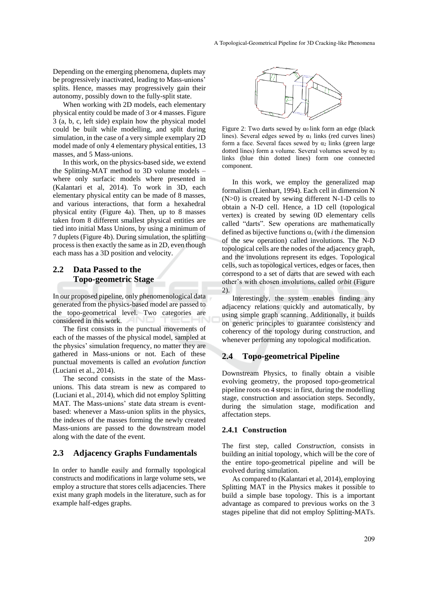Depending on the emerging phenomena, duplets may be progressively inactivated, leading to Mass-unions' splits. Hence, masses may progressively gain their autonomy, possibly down to the fully-split state.

When working with 2D models, each elementary physical entity could be made of 3 or 4 masses. Figure 3 (a, b, c, left side) explain how the physical model could be built while modelling, and split during simulation, in the case of a very simple exemplary 2D model made of only 4 elementary physical entities, 13 masses, and 5 Mass-unions.

In this work, on the physics-based side, we extend the Splitting-MAT method to 3D volume models – where only surfacic models where presented in (Kalantari et al, 2014). To work in 3D, each elementary physical entity can be made of 8 masses, and various interactions, that form a hexahedral physical entity (Figure 4a). Then, up to 8 masses taken from 8 different smallest physical entities are tied into initial Mass Unions, by using a minimum of 7 duplets (Figure 4b). During simulation, the splitting process is then exactly the same as in 2D, even though each mass has a 3D position and velocity.

#### **2.2 Data Passed to the Topo-geometric Stage**

In our proposed pipeline, only phenomenological data generated from the physics-based model are passed to the topo-geometrical level. Two categories are considered in this work.

The first consists in the punctual movements of each of the masses of the physical model, sampled at the physics' simulation frequency, no matter they are gathered in Mass-unions or not. Each of these punctual movements is called an *evolution function*  (Luciani et al., 2014).

The second consists in the state of the Massunions. This data stream is new as compared to (Luciani et al., 2014), which did not employ Splitting MAT. The Mass-unions' state data stream is eventbased: whenever a Mass-union splits in the physics, the indexes of the masses forming the newly created Mass-unions are passed to the downstream model along with the date of the event.

#### **2.3 Adjacency Graphs Fundamentals**

In order to handle easily and formally topological constructs and modifications in large volume sets, we employ a structure that stores cells adjacencies. There exist many graph models in the literature, such as for example half-edges graphs.



Figure 2: Two darts sewed by  $\alpha_0$  link form an edge (black lines). Several edges sewed by  $\alpha_1$  links (red curves lines) form a face. Several faces sewed by  $\alpha_2$  links (green large dotted lines) form a volume. Several volumes sewed by α<sup>3</sup> links (blue thin dotted lines) form one connected component.

In this work, we employ the generalized map formalism (Lienhart, 1994). Each cell in dimension N (N>0) is created by sewing different N-1-D cells to obtain a N-D cell. Hence, a 1D cell (topological vertex) is created by sewing 0D elementary cells called "darts". Sew operations are mathematically defined as bijective functions  $\alpha_i$  (with *i* the dimension of the sew operation) called involutions. The N-D topological cells are the nodes of the adjacency graph, and the involutions represent its edges. Topological cells, such as topological vertices, edges or faces, then correspond to a set of darts that are sewed with each other's with chosen involutions, called *orbit* (Figure 2).

Interestingly, the system enables finding any adjacency relations quickly and automatically, by using simple graph scanning. Additionally, it builds on generic principles to guarantee consistency and coherency of the topology during construction, and whenever performing any topological modification.

#### **2.4 Topo-geometrical Pipeline**

Downstream Physics, to finally obtain a visible evolving geometry, the proposed topo-geometrical pipeline roots on 4 steps: in first, during the modelling stage, construction and association steps. Secondly, during the simulation stage, modification and affectation steps.

#### **2.4.1 Construction**

The first step, called *Construction*, consists in building an initial topology, which will be the core of the entire topo-geometrical pipeline and will be evolved during simulation.

As compared to (Kalantari et al, 2014), employing Splitting MAT in the Physics makes it possible to build a simple base topology. This is a important advantage as compared to previous works on the 3 stages pipeline that did not employ Splitting-MATs.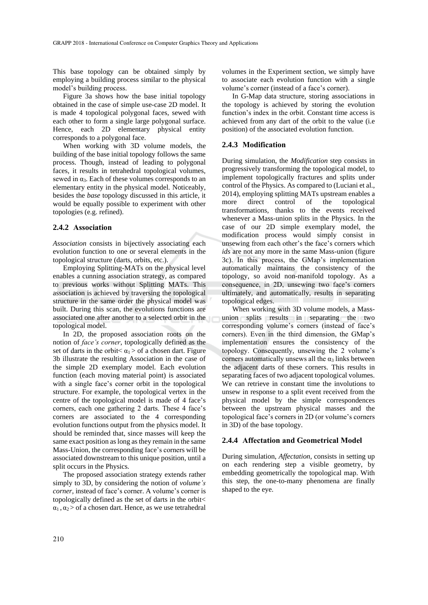This base topology can be obtained simply by employing a building process similar to the physical model's building process.

Figure 3a shows how the base initial topology obtained in the case of simple use-case 2D model. It is made 4 topological polygonal faces, sewed with each other to form a single large polygonal surface. Hence, each 2D elementary physical entity corresponds to a polygonal face.

When working with 3D volume models, the building of the base initial topology follows the same process. Though, instead of leading to polygonal faces, it results in tetrahedral topological volumes, sewed in  $\alpha_3$ . Each of these volumes corresponds to an elementary entity in the physical model. Noticeably, besides the *base* topology discussed in this article, it would be equally possible to experiment with other topologies (e.g. refined).

#### **2.4.2 Association**

*Association* consists in bijectively associating each evolution function to one or several elements in the topological structure (darts, orbits, etc.).

Employing Splitting-MATs on the physical level enables a cunning association strategy, as compared to previous works without Splitting MATs. This association is achieved by traversing the topological structure in the same order the physical model was built. During this scan, the evolutions functions are associated one after another to a selected orbit in the topological model.

In 2D, the proposed association roots on the notion of *face's corner*, topologically defined as the set of darts in the orbit $\leq \alpha_1 >$  of a chosen dart. Figure 3b illustrate the resulting Association in the case of the simple 2D exemplary model. Each evolution function (each moving material point) is associated with a single face's corner orbit in the topological structure. For example, the topological vertex in the centre of the topological model is made of 4 face's corners, each one gathering 2 darts. These 4 face's corners are associated to the 4 corresponding evolution functions output from the physics model. It should be reminded that, since masses will keep the same exact position as long as they remain in the same Mass-Union, the corresponding face's corners will be associated downstream to this unique position, until a split occurs in the Physics.

The proposed association strategy extends rather simply to 3D, by considering the notion of *volume's corner*, instead of face's corner. A volume's corner is topologically defined as the set of darts in the orbit<  $\alpha_1, \alpha_2$  of a chosen dart. Hence, as we use tetrahedral

volumes in the Experiment section, we simply have to associate each evolution function with a single volume's corner (instead of a face's corner).

In G-Map data structure, storing associations in the topology is achieved by storing the evolution function's index in the orbit. Constant time access is achieved from any dart of the orbit to the value (i.e position) of the associated evolution function.

#### **2.4.3 Modification**

During simulation, the *Modification* step consists in progressively transforming the topological model, to implement topologically fractures and splits under control of the Physics. As compared to (Luciani et al., 2014), employing splitting MATs upstream enables a more direct control of the topological transformations, thanks to the events received whenever a Mass-union splits in the Physics. In the case of our 2D simple exemplary model, the modification process would simply consist in unsewing from each other's the face's corners which *ids* are not any more in the same Mass-union (figure 3c). In this process, the GMap's implementation automatically maintains the consistency of the topology, so avoid non-manifold topology. As a consequence, in 2D, unsewing two face's corners ultimately, and automatically, results in separating topological edges.

When working with 3D volume models, a Massunion splits results in separating the two corresponding volume's corners (instead of face's corners). Even in the third dimension, the GMap's implementation ensures the consistency of the topology. Consequently, unsewing the 2 volume's corners automatically unsews all the  $\alpha_3$  links between the adjacent darts of these corners. This results in separating faces of two adjacent topological volumes. We can retrieve in constant time the involutions to unsew in response to a split event received from the physical model by the simple correspondences between the upstream physical masses and the topological face's corners in 2D (or volume's corners in 3D) of the base topology.

#### **2.4.4 Affectation and Geometrical Model**

During simulation, *Affectation*, consists in setting up on each rendering step a visible geometry, by embedding geometrically the topological map. With this step, the one-to-many phenomena are finally shaped to the eye.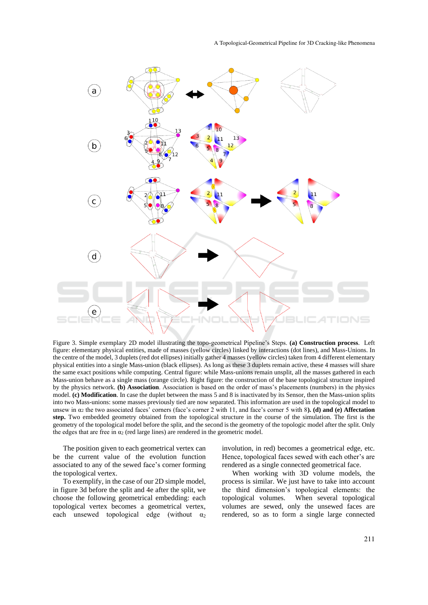

Figure 3. Simple exemplary 2D model illustrating the topo-geometrical Pipeline's Steps. **(a) Construction process**. Left figure: elementary physical entities, made of masses (yellow circles) linked by interactions (dot lines), and Mass-Unions. In the centre of the model, 3 duplets (red dot ellipses) initially gather 4 masses (yellow circles) taken from 4 different elementary physical entities into a single Mass-union (black ellipses). As long as these 3 duplets remain active, these 4 masses will share the same exact positions while computing. Central figure: while Mass-unions remain unsplit, all the masses gathered in each Mass-union behave as a single mass (orange circle). Right figure: the construction of the base topological structure inspired by the physics network. **(b) Association**. Association is based on the order of mass's placements (numbers) in the physics model. **(c) Modification**. In case the duplet between the mass 5 and 8 is inactivated by its Sensor, then the Mass-union splits into two Mass-unions: some masses previously tied are now separated. This information are used in the topological model to unsew in α<sup>2</sup> the two associated faces' corners (face's corner 2 with 11, and face's corner 5 with 8**). (d) and (e) Affectation step.** Two embedded geometry obtained from the topological structure in the course of the simulation. The first is the geometry of the topological model before the split, and the second is the geometry of the topologic model after the split. Only the edges that are free in  $\alpha_2$  (red large lines) are rendered in the geometric model.

The position given to each geometrical vertex can be the current value of the evolution function associated to any of the sewed face's corner forming the topological vertex.

To exemplify, in the case of our 2D simple model, in figure 3d before the split and 4e after the split, we choose the following geometrical embedding: each topological vertex becomes a geometrical vertex, each unsewed topological edge (without  $\alpha_2$ 

involution, in red) becomes a geometrical edge, etc. Hence, topological faces sewed with each other's are rendered as a single connected geometrical face.

When working with 3D volume models, the process is similar. We just have to take into account the third dimension's topological elements: the topological volumes. When several topological volumes are sewed, only the unsewed faces are rendered, so as to form a single large connected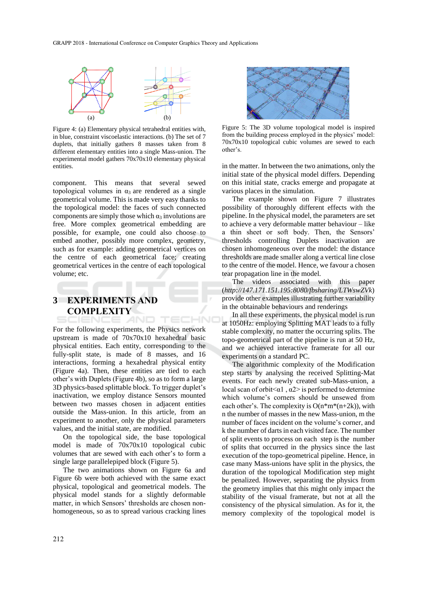

Figure 4: (a) Elementary physical tetrahedral entities with, in blue, constraint viscoelastic interactions. (b) The set of 7 duplets, that initially gathers 8 masses taken from 8 different elementary entities into a single Mass-union. The experimental model gathers 70x70x10 elementary physical entities.

component. This means that several sewed topological volumes in  $α_3$  are rendered as a single geometrical volume. This is made very easy thanks to the topological model: the faces of such connected components are simply those which  $\alpha_3$  involutions are free. More complex geometrical embedding are possible, for example, one could also choose to embed another, possibly more complex, geometry, such as for example: adding geometrical vertices on the centre of each geometrical face; creating geometrical vertices in the centre of each topological volume; etc.

# **3 EXPERIMENTS AND COMPLEXITY**

For the following experiments, the Physics network upstream is made of 70x70x10 hexahedral basic physical entities. Each entity, corresponding to the fully-split state, is made of 8 masses, and 16 interactions, forming a hexahedral physical entity (Figure 4a). Then, these entities are tied to each other's with Duplets (Figure 4b), so as to form a large 3D physics-based splittable block. To trigger duplet's inactivation, we employ distance Sensors mounted between two masses chosen in adjacent entities outside the Mass-union. In this article, from an experiment to another, only the physical parameters values, and the initial state, are modified.

On the topological side, the base topological model is made of 70x70x10 topological cubic volumes that are sewed with each other's to form a single large parallelepiped block (Figure 5).

The two animations shown on Figure 6a and Figure 6b were both achieved with the same exact physical, topological and geometrical models. The physical model stands for a slightly deformable matter, in which Sensors' thresholds are chosen nonhomogeneous, so as to spread various cracking lines



Figure 5: The 3D volume topological model is inspired from the building process employed in the physics' model: 70x70x10 topological cubic volumes are sewed to each other's.

in the matter. In between the two animations, only the initial state of the physical model differs. Depending on this initial state, cracks emerge and propagate at various places in the simulation.

The example shown on Figure 7 illustrates possibility of thoroughly different effects with the pipeline. In the physical model, the parameters are set to achieve a very deformable matter behaviour – like a thin sheet or soft body. Then, the Sensors' thresholds controlling Duplets inactivation are chosen inhomogeneous over the model: the distance thresholds are made smaller along a vertical line close to the centre of the model. Hence, we favour a chosen tear propagation line in the model.

The videos associated with this paper (*http://147.171.151.195:8080/fbsharing/LTWswZVk*) provide other examples illustrating further variability in the obtainable behaviours and renderings

In all these experiments, the physical model is run at 1050Hz: employing Splitting MAT leads to a fully stable complexity, no matter the occurring splits. The topo-geometrical part of the pipeline is run at 50 Hz, and we achieved interactive framerate for all our experiments on a standard PC.

The algorithmic complexity of the Modification step starts by analysing the received Splitting-Mat events. For each newly created sub-Mass-union, a local scan of orbit $\leq \alpha$ 1,  $\alpha$ 2> is performed to determine which volume's corners should be unsewed from each other's. The complexity is  $O(n*m*(n+2k))$ , with n the number of masses in the new Mass-union, m the number of faces incident on the volume's corner, and k the number of darts in each visited face. The number of split events to process on each step is the number of splits that occurred in the physics since the last execution of the topo-geometrical pipeline. Hence, in case many Mass-unions have split in the physics, the duration of the topological Modification step might be penalized. However, separating the physics from the geometry implies that this might only impact the stability of the visual framerate, but not at all the consistency of the physical simulation. As for it, the memory complexity of the topological model is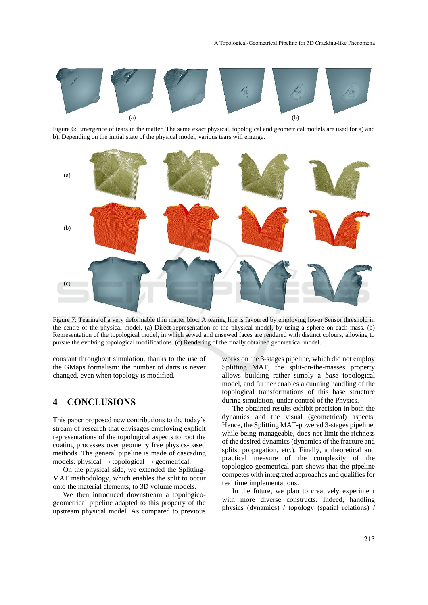

Figure 6: Emergence of tears in the matter. The same exact physical, topological and geometrical models are used for a) and b). Depending on the initial state of the physical model, various tears will emerge.



Figure 7: Tearing of a very deformable thin matter bloc. A tearing line is favoured by employing lower Sensor threshold in the centre of the physical model. (a) Direct representation of the physical model, by using a sphere on each mass. (b) Representation of the topological model, in which sewed and unsewed faces are rendered with distinct colours, allowing to pursue the evolving topological modifications. (c) Rendering of the finally obtained geometrical model.

constant throughout simulation, thanks to the use of the GMaps formalism: the number of darts is never changed, even when topology is modified.

## **4 CONCLUSIONS**

This paper proposed new contributions to the today's stream of research that envisages employing explicit representations of the topological aspects to root the coating processes over geometry free physics-based methods. The general pipeline is made of cascading models: physical  $\rightarrow$  topological  $\rightarrow$  geometrical.

On the physical side, we extended the Splitting-MAT methodology, which enables the split to occur onto the material elements, to 3D volume models.

We then introduced downstream a topologicogeometrical pipeline adapted to this property of the upstream physical model. As compared to previous

works on the 3-stages pipeline, which did not employ Splitting MAT, the split-on-the-masses property allows building rather simply a *base* topological model, and further enables a cunning handling of the topological transformations of this base structure during simulation, under control of the Physics.

The obtained results exhibit precision in both the dynamics and the visual (geometrical) aspects. Hence, the Splitting MAT-powered 3-stages pipeline, while being manageable, does not limit the richness of the desired dynamics (dynamics of the fracture and splits, propagation, etc.). Finally, a theoretical and practical measure of the complexity of the topologico-geometrical part shows that the pipeline competes with integrated approaches and qualifies for real time implementations.

In the future, we plan to creatively experiment with more diverse constructs. Indeed, handling physics (dynamics) / topology (spatial relations) /